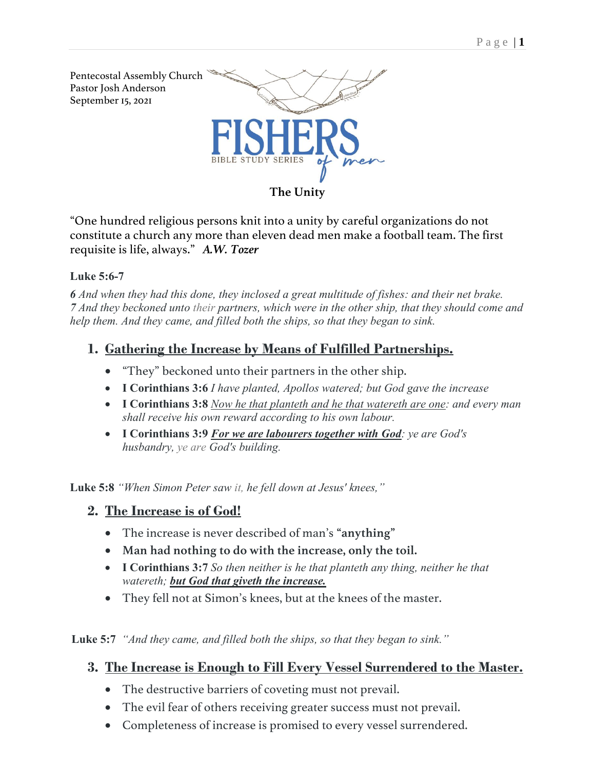

"One hundred religious persons knit into a unity by careful organizations do not constitute a church any more than eleven dead men make a football team. The first requisite is life, always." *A.W. Tozer*

#### **Luke 5:6-7**

*6 And when they had this done, they inclosed a great multitude of fishes: and their net brake. 7 And they beckoned unto their partners, which were in the other ship, that they should come and help them. And they came, and filled both the ships, so that they began to sink.*

## **1. Gathering the Increase by Means of Fulfilled Partnerships.**

- "They" beckoned unto their partners in the other ship.
- **I Corinthians 3:6** *I have planted, Apollos watered; but God gave the increase*
- **I Corinthians 3:8** *Now he that planteth and he that watereth are one: and every man shall receive his own reward according to his own labour.*
- **I Corinthians 3:9** *For we are labourers together with God: ye are God's husbandry, ye are God's building.*

**Luke 5:8** *"When Simon Peter saw it, he fell down at Jesus' knees,"*

- **2. The Increase is of God!** 
	- The increase is never described of man's **"anything"**
	- **Man had nothing to do with the increase, only the toil.**
	- **I Corinthians 3:7** *So then neither is he that planteth any thing, neither he that watereth; but God that giveth the increase.*
	- They fell not at Simon's knees, but at the knees of the master.

**Luke 5:7** *"And they came, and filled both the ships, so that they began to sink."*

## **3. The Increase is Enough to Fill Every Vessel Surrendered to the Master.**

- The destructive barriers of coveting must not prevail.
- The evil fear of others receiving greater success must not prevail.
- Completeness of increase is promised to every vessel surrendered.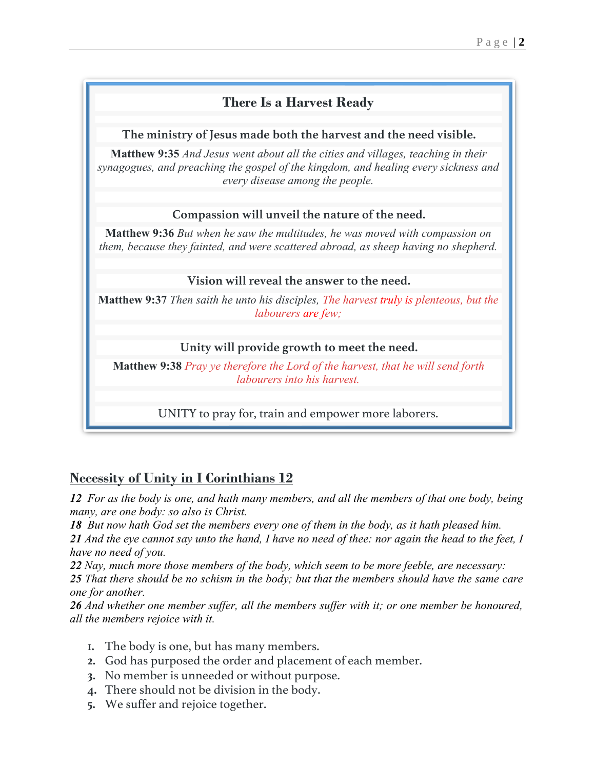# **There Is a Harvest Ready**

### **The ministry of Jesus made both the harvest and the need visible.**

**Matthew 9:35** *And Jesus went about all the cities and villages, teaching in their synagogues, and preaching the gospel of the kingdom, and healing every sickness and every disease among the people.*

## **Compassion will unveil the nature of the need.**

**Matthew 9:36** *But when he saw the multitudes, he was moved with compassion on them, because they fainted, and were scattered abroad, as sheep having no shepherd.*

## **Vision will reveal the answer to the need.**

**Matthew 9:37** *Then saith he unto his disciples, The harvest truly is plenteous, but the labourers are few;*

# **Unity will provide growth to meet the need.**

**Matthew 9:38** *Pray ye therefore the Lord of the harvest, that he will send forth labourers into his harvest.*

UNITY to pray for, train and empower more laborers.

# **Necessity of Unity in I Corinthians 12**

*12 For as the body is one, and hath many members, and all the members of that one body, being many, are one body: so also is Christ.*

*18 But now hath God set the members every one of them in the body, as it hath pleased him.*

*21 And the eye cannot say unto the hand, I have no need of thee: nor again the head to the feet, I have no need of you.*

*22 Nay, much more those members of the body, which seem to be more feeble, are necessary:*

*25 That there should be no schism in the body; but that the members should have the same care one for another.*

*26 And whether one member suffer, all the members suffer with it; or one member be honoured, all the members rejoice with it.*

- **1.** The body is one, but has many members.
- **2.** God has purposed the order and placement of each member.
- **3.** No member is unneeded or without purpose.
- **4.** There should not be division in the body.
- **5.** We suffer and rejoice together.